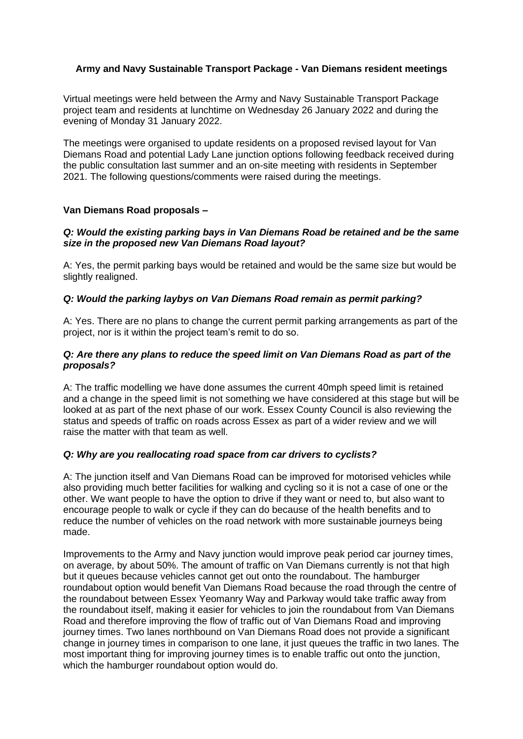## **Army and Navy Sustainable Transport Package - Van Diemans resident meetings**

Virtual meetings were held between the Army and Navy Sustainable Transport Package project team and residents at lunchtime on Wednesday 26 January 2022 and during the evening of Monday 31 January 2022.

The meetings were organised to update residents on a proposed revised layout for Van Diemans Road and potential Lady Lane junction options following feedback received during the public consultation last summer and an on-site meeting with residents in September 2021. The following questions/comments were raised during the meetings.

### **Van Diemans Road proposals –**

#### *Q: Would the existing parking bays in Van Diemans Road be retained and be the same size in the proposed new Van Diemans Road layout?*

A: Yes, the permit parking bays would be retained and would be the same size but would be slightly realigned.

#### *Q: Would the parking laybys on Van Diemans Road remain as permit parking?*

A: Yes. There are no plans to change the current permit parking arrangements as part of the project, nor is it within the project team's remit to do so.

#### *Q: Are there any plans to reduce the speed limit on Van Diemans Road as part of the proposals?*

A: The traffic modelling we have done assumes the current 40mph speed limit is retained and a change in the speed limit is not something we have considered at this stage but will be looked at as part of the next phase of our work. Essex County Council is also reviewing the status and speeds of traffic on roads across Essex as part of a wider review and we will raise the matter with that team as well.

### *Q: Why are you reallocating road space from car drivers to cyclists?*

A: The junction itself and Van Diemans Road can be improved for motorised vehicles while also providing much better facilities for walking and cycling so it is not a case of one or the other. We want people to have the option to drive if they want or need to, but also want to encourage people to walk or cycle if they can do because of the health benefits and to reduce the number of vehicles on the road network with more sustainable journeys being made.

Improvements to the Army and Navy junction would improve peak period car journey times, on average, by about 50%. The amount of traffic on Van Diemans currently is not that high but it queues because vehicles cannot get out onto the roundabout. The hamburger roundabout option would benefit Van Diemans Road because the road through the centre of the roundabout between Essex Yeomanry Way and Parkway would take traffic away from the roundabout itself, making it easier for vehicles to join the roundabout from Van Diemans Road and therefore improving the flow of traffic out of Van Diemans Road and improving journey times. Two lanes northbound on Van Diemans Road does not provide a significant change in journey times in comparison to one lane, it just queues the traffic in two lanes. The most important thing for improving journey times is to enable traffic out onto the junction, which the hamburger roundabout option would do.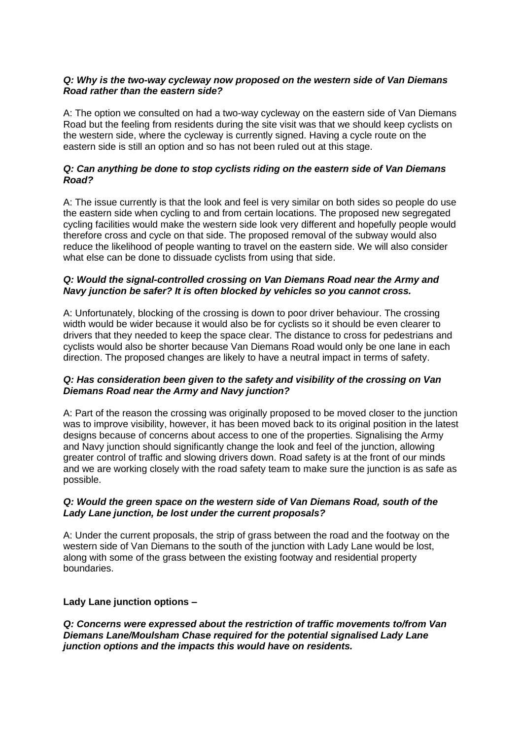### *Q: Why is the two-way cycleway now proposed on the western side of Van Diemans Road rather than the eastern side?*

A: The option we consulted on had a two-way cycleway on the eastern side of Van Diemans Road but the feeling from residents during the site visit was that we should keep cyclists on the western side, where the cycleway is currently signed. Having a cycle route on the eastern side is still an option and so has not been ruled out at this stage.

### *Q: Can anything be done to stop cyclists riding on the eastern side of Van Diemans Road?*

A: The issue currently is that the look and feel is very similar on both sides so people do use the eastern side when cycling to and from certain locations. The proposed new segregated cycling facilities would make the western side look very different and hopefully people would therefore cross and cycle on that side. The proposed removal of the subway would also reduce the likelihood of people wanting to travel on the eastern side. We will also consider what else can be done to dissuade cyclists from using that side.

## *Q: Would the signal-controlled crossing on Van Diemans Road near the Army and Navy junction be safer? It is often blocked by vehicles so you cannot cross.*

A: Unfortunately, blocking of the crossing is down to poor driver behaviour. The crossing width would be wider because it would also be for cyclists so it should be even clearer to drivers that they needed to keep the space clear. The distance to cross for pedestrians and cyclists would also be shorter because Van Diemans Road would only be one lane in each direction. The proposed changes are likely to have a neutral impact in terms of safety.

### *Q: Has consideration been given to the safety and visibility of the crossing on Van Diemans Road near the Army and Navy junction?*

A: Part of the reason the crossing was originally proposed to be moved closer to the junction was to improve visibility, however, it has been moved back to its original position in the latest designs because of concerns about access to one of the properties. Signalising the Army and Navy junction should significantly change the look and feel of the junction, allowing greater control of traffic and slowing drivers down. Road safety is at the front of our minds and we are working closely with the road safety team to make sure the junction is as safe as possible.

### *Q: Would the green space on the western side of Van Diemans Road, south of the Lady Lane junction, be lost under the current proposals?*

A: Under the current proposals, the strip of grass between the road and the footway on the western side of Van Diemans to the south of the junction with Lady Lane would be lost, along with some of the grass between the existing footway and residential property boundaries.

### **Lady Lane junction options –**

*Q: Concerns were expressed about the restriction of traffic movements to/from Van Diemans Lane/Moulsham Chase required for the potential signalised Lady Lane junction options and the impacts this would have on residents.*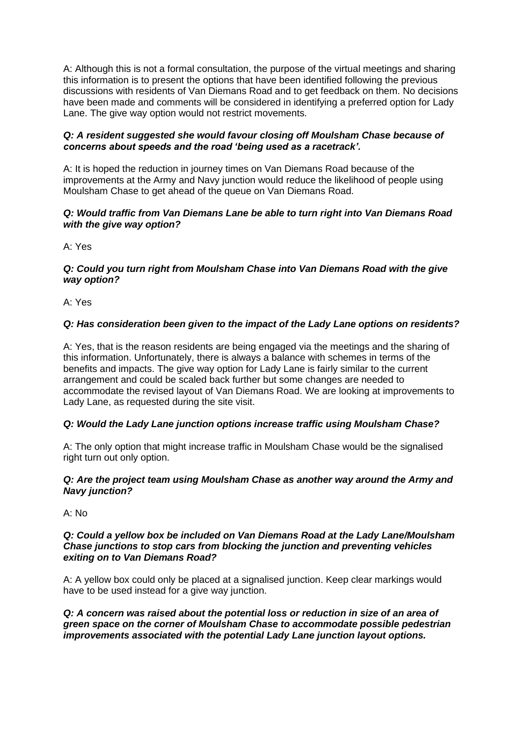A: Although this is not a formal consultation, the purpose of the virtual meetings and sharing this information is to present the options that have been identified following the previous discussions with residents of Van Diemans Road and to get feedback on them. No decisions have been made and comments will be considered in identifying a preferred option for Lady Lane. The give way option would not restrict movements.

### *Q: A resident suggested she would favour closing off Moulsham Chase because of concerns about speeds and the road 'being used as a racetrack'.*

A: It is hoped the reduction in journey times on Van Diemans Road because of the improvements at the Army and Navy junction would reduce the likelihood of people using Moulsham Chase to get ahead of the queue on Van Diemans Road.

## *Q: Would traffic from Van Diemans Lane be able to turn right into Van Diemans Road with the give way option?*

A: Yes

#### *Q: Could you turn right from Moulsham Chase into Van Diemans Road with the give way option?*

A: Yes

# *Q: Has consideration been given to the impact of the Lady Lane options on residents?*

A: Yes, that is the reason residents are being engaged via the meetings and the sharing of this information. Unfortunately, there is always a balance with schemes in terms of the benefits and impacts. The give way option for Lady Lane is fairly similar to the current arrangement and could be scaled back further but some changes are needed to accommodate the revised layout of Van Diemans Road. We are looking at improvements to Lady Lane, as requested during the site visit.

# *Q: Would the Lady Lane junction options increase traffic using Moulsham Chase?*

A: The only option that might increase traffic in Moulsham Chase would be the signalised right turn out only option.

### *Q: Are the project team using Moulsham Chase as another way around the Army and Navy junction?*

A: No

#### *Q: Could a yellow box be included on Van Diemans Road at the Lady Lane/Moulsham Chase junctions to stop cars from blocking the junction and preventing vehicles exiting on to Van Diemans Road?*

A: A yellow box could only be placed at a signalised junction. Keep clear markings would have to be used instead for a give way junction.

*Q: A concern was raised about the potential loss or reduction in size of an area of green space on the corner of Moulsham Chase to accommodate possible pedestrian improvements associated with the potential Lady Lane junction layout options.*